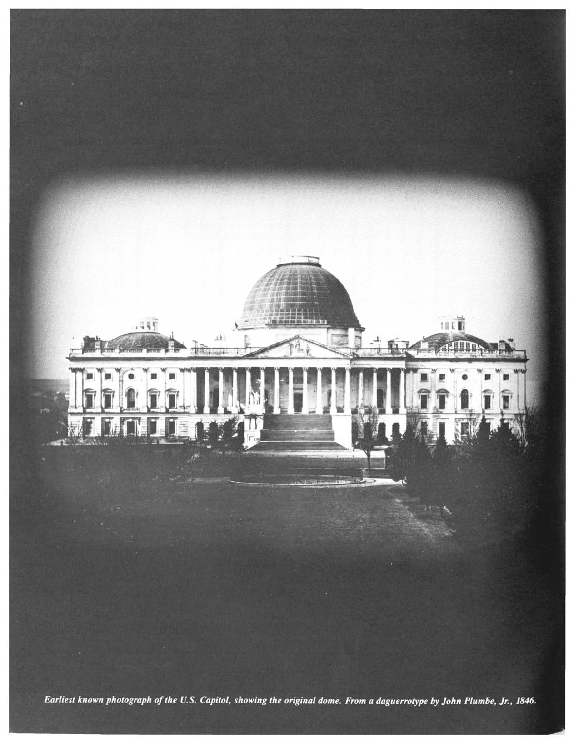